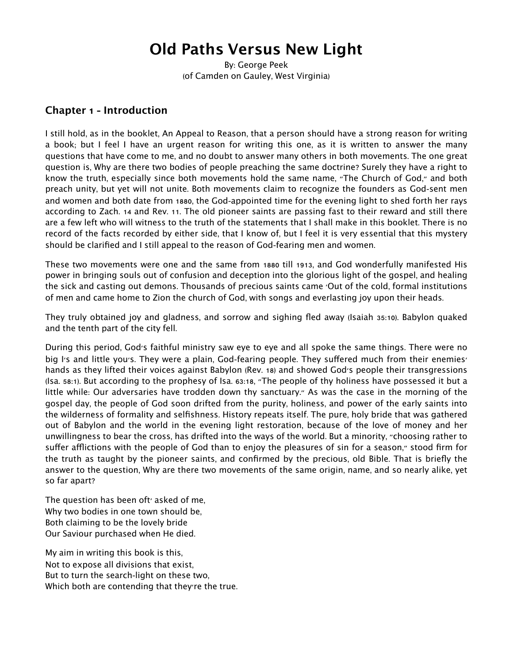# **Old Paths Versus New Light**

By: George Peek (of Camden on Gauley, West Virginia)

#### **Chapter 1 - Introduction**

I still hold, as in the booklet, An Appeal to Reason, that a person should have a strong reason for writing a book; but I feel I have an urgent reason for writing this one, as it is written to answer the many questions that have come to me, and no doubt to answer many others in both movements. The one great question is, Why are there two bodies of people preaching the same doctrine? Surely they have a right to know the truth, especially since both movements hold the same name, "The Church of God," and both preach unity, but yet will not unite. Both movements claim to recognize the founders as God-sent men and women and both date from 1880, the God-appointed time for the evening light to shed forth her rays according to Zach. 14 and Rev. 11. The old pioneer saints are passing fast to their reward and still there are a few left who will witness to the truth of the statements that I shall make in this booklet. There is no record of the facts recorded by either side, that I know of, but I feel it is very essential that this mystery should be clarified and I still appeal to the reason of God-fearing men and women.

These two movements were one and the same from 1880 till 1913, and God wonderfully manifested His power in bringing souls out of confusion and deception into the glorious light of the gospel, and healing the sick and casting out demons. Thousands of precious saints came 'Out of the cold, formal institutions of men and came home to Zion the church of God, with songs and everlasting joy upon their heads.

They truly obtained joy and gladness, and sorrow and sighing fled away (Isaiah 35:10). Babylon quaked and the tenth part of the city fell.

During this period, God's faithful ministry saw eye to eye and all spoke the same things. There were no big I's and little you's. They were a plain, God-fearing people. They suffered much from their enemies' hands as they lifted their voices against Babylon (Rev. 18) and showed God's people their transgressions (Isa. 58:1). But according to the prophesy of Isa. 63:18, "The people of thy holiness have possessed it but a little while: Our adversaries have trodden down thy sanctuary." As was the case in the morning of the gospel day, the people of God soon drifted from the purity, holiness, and power of the early saints into the wilderness of formality and selfishness. History repeats itself. The pure, holy bride that was gathered out of Babylon and the world in the evening light restoration, because of the love of money and her unwillingness to bear the cross, has drifted into the ways of the world. But a minority, "choosing rather to suffer afflictions with the people of God than to enjoy the pleasures of sin for a season," stood firm for the truth as taught by the pioneer saints, and confirmed by the precious, old Bible. That is briefly the answer to the question, Why are there two movements of the same origin, name, and so nearly alike, yet so far apart?

The question has been oft<sup>'</sup> asked of me, Why two bodies in one town should be, Both claiming to be the lovely bride Our Saviour purchased when He died.

My aim in writing this book is this, Not to expose all divisions that exist, But to turn the search-light on these two, Which both are contending that they're the true.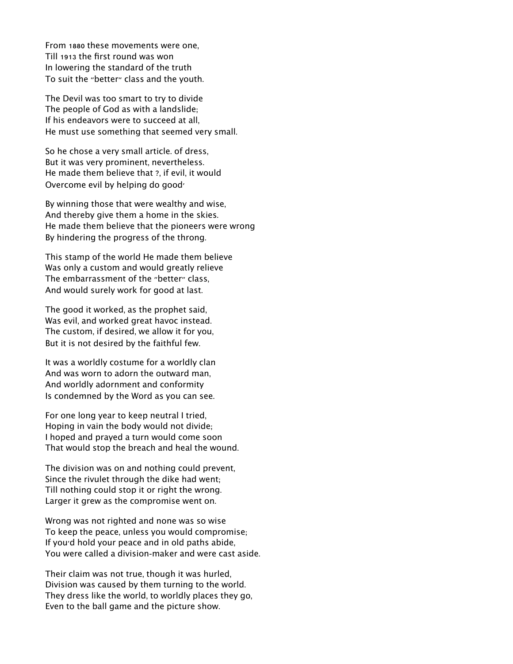From 1880 these movements were one, Till 1913 the first round was won In lowering the standard of the truth To suit the "better" class and the youth.

The Devil was too smart to try to divide The people of God as with a landslide; If his endeavors were to succeed at all, He must use something that seemed very small.

So he chose a very small article. of dress, But it was very prominent, nevertheless. He made them believe that ?, if evil, it would Overcome evil by helping do good'

By winning those that were wealthy and wise, And thereby give them a home in the skies. He made them believe that the pioneers were wrong By hindering the progress of the throng.

This stamp of the world He made them believe Was only a custom and would greatly relieve The embarrassment of the "better" class, And would surely work for good at last.

The good it worked, as the prophet said, Was evil, and worked great havoc instead. The custom, if desired, we allow it for you, But it is not desired by the faithful few.

It was a worldly costume for a worldly clan And was worn to adorn the outward man, And worldly adornment and conformity Is condemned by the Word as you can see.

For one long year to keep neutral I tried, Hoping in vain the body would not divide; I hoped and prayed a turn would come soon That would stop the breach and heal the wound.

The division was on and nothing could prevent, Since the rivulet through the dike had went; Till nothing could stop it or right the wrong. Larger it grew as the compromise went on.

Wrong was not righted and none was so wise To keep the peace, unless you would compromise; If you'd hold your peace and in old paths abide, You were called a division-maker and were cast aside.

Their claim was not true, though it was hurled, Division was caused by them turning to the world. They dress like the world, to worldly places they go, Even to the ball game and the picture show.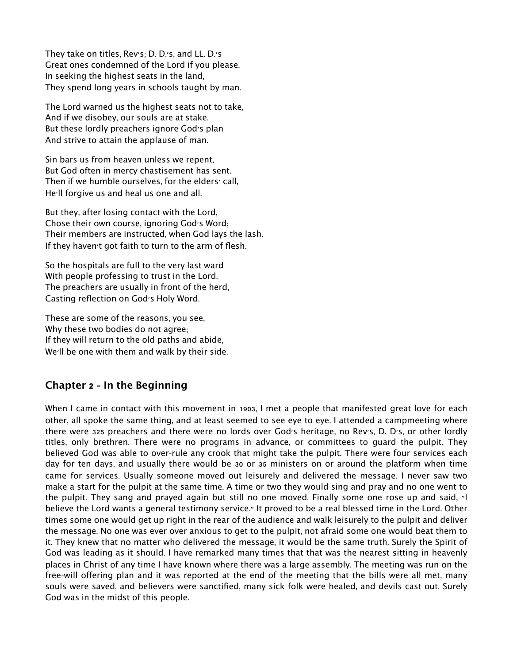They take on titles, Rev's; D. D.'s, and LL. D.'s Great ones condemned of the Lord if you please. In seeking the highest seats in the land, They spend long years in schools taught by man.

The Lord warned us the highest seats not to take, And if we disobey, our souls are at stake. But these lordly preachers ignore God's plan And strive to attain the applause of man.

Sin bars us from heaven unless we repent, But God often in mercy chastisement has sent. Then if we humble ourselves, for the elders' call, He'll forgive us and heal us one and all.

But they, after losing contact with the Lord, Chose their own course, ignoring God's Word; Their members are instructed, when God lays the lash. If they haven't got faith to turn to the arm of flesh.

So the hospitals are full to the very last ward With people professing to trust in the Lord. The preachers are usually in front of the herd, Casting reflection on God's Holy Word.

These are some of the reasons, you see, Why these two bodies do not agree; If they will return to the old paths and abide, We'll be one with them and walk by their side.

#### **Chapter 2 - In the Beginning**

When I came in contact with this movement in 1903, I met a people that manifested great love for each other, all spoke the same thing, and at least seemed to see eye to eye. I attended a campmeeting where there were 325 preachers and there were no lords over God's heritage, no Rev's, D. D's, or other lordly titles, only brethren. There were no programs in advance, or committees to guard the pulpit. They believed God was able to over-rule any crook that might take the pulpit. There were four services each day for ten days, and usually there would be 30 or 35 ministers on or around the platform when time came for services. Usually someone moved out leisurely and delivered the message. I never saw two make a start for the pulpit at the same time. A time or two they would sing and pray and no one went to the pulpit. They sang and prayed again but still no one moved. Finally some one rose up and said, "I believe the Lord wants a general testimony service." It proved to be a real blessed time in the Lord. Other times some one would get up right in the rear of the audience and walk leisurely to the pulpit and deliver the message. No one was ever over anxious to get to the pulpit, not afraid some one would beat them to it. They knew that no matter who delivered the message, it would be the same truth. Surely the Spirit of God was leading as it should. I have remarked many times that that was the nearest sitting in heavenly places in Christ of any time I have known where there was a large assembly. The meeting was run on the free-will offering plan and it was reported at the end of the meeting that the bills were all met, many souls were saved, and believers were sanctified, many sick folk were healed, and devils cast out. Surely God was in the midst of this people.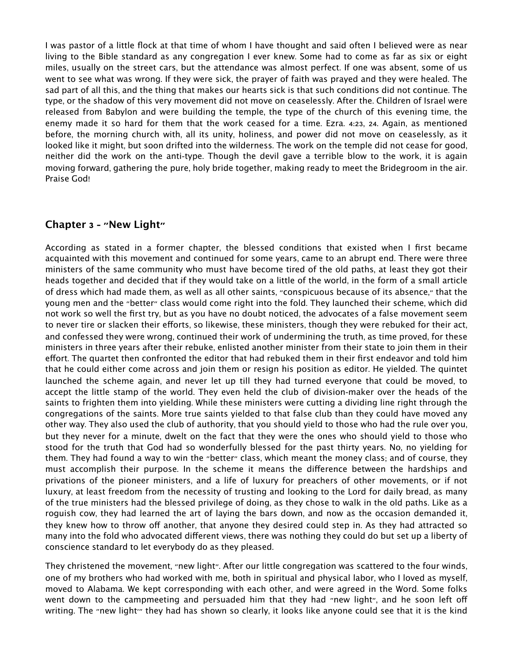I was pastor of a little flock at that time of whom I have thought and said often I believed were as near living to the Bible standard as any congregation I ever knew. Some had to come as far as six or eight miles, usually on the street cars, but the attendance was almost perfect. If one was absent, some of us went to see what was wrong. If they were sick, the prayer of faith was prayed and they were healed. The sad part of all this, and the thing that makes our hearts sick is that such conditions did not continue. The type, or the shadow of this very movement did not move on ceaselessly. After the. Children of Israel were released from Babylon and were building the temple, the type of the church of this evening time, the enemy made it so hard for them that the work ceased for a time. Ezra. 4:23, 24. Again, as mentioned before, the morning church with, all its unity, holiness, and power did not move on ceaselessly, as it looked like it might, but soon drifted into the wilderness. The work on the temple did not cease for good, neither did the work on the anti-type. Though the devil gave a terrible blow to the work, it is again moving forward, gathering the pure, holy bride together, making ready to meet the Bridegroom in the air. Praise God!

## **Chapter 3 - "New Light"**

According as stated in a former chapter, the blessed conditions that existed when I first became acquainted with this movement and continued for some years, came to an abrupt end. There were three ministers of the same community who must have become tired of the old paths, at least they got their heads together and decided that if they would take on a little of the world, in the form of a small article of dress which had made them, as well as all other saints, "conspicuous because of its absence," that the young men and the "better" class would come right into the fold. They launched their scheme, which did not work so well the first try, but as you have no doubt noticed, the advocates of a false movement seem to never tire or slacken their efforts, so likewise, these ministers, though they were rebuked for their act, and confessed they were wrong, continued their work of undermining the truth, as time proved, for these ministers in three years after their rebuke, enlisted another minister from their state to join them in their effort. The quartet then confronted the editor that had rebuked them in their first endeavor and told him that he could either come across and join them or resign his position as editor. He yielded. The quintet launched the scheme again, and never let up till they had turned everyone that could be moved, to accept the little stamp of the world. They even held the club of division-maker over the heads of the saints to frighten them into yielding. While these ministers were cutting a dividing line right through the congregations of the saints. More true saints yielded to that false club than they could have moved any other way. They also used the club of authority, that you should yield to those who had the rule over you, but they never for a minute, dwelt on the fact that they were the ones who should yield to those who stood for the truth that God had so wonderfully blessed for the past thirty years. No, no yielding for them. They had found a way to win the "better" class, which meant the money class; and of course, they must accomplish their purpose. In the scheme it means the difference between the hardships and privations of the pioneer ministers, and a life of luxury for preachers of other movements, or if not luxury, at least freedom from the necessity of trusting and looking to the Lord for daily bread, as many of the true ministers had the blessed privilege of doing, as they chose to walk in the old paths. Like as a roguish cow, they had learned the art of laying the bars down, and now as the occasion demanded it, they knew how to throw off another, that anyone they desired could step in. As they had attracted so many into the fold who advocated different views, there was nothing they could do but set up a liberty of conscience standard to let everybody do as they pleased.

They christened the movement, "new light". After our little congregation was scattered to the four winds, one of my brothers who had worked with me, both in spiritual and physical labor, who I loved as myself, moved to Alabama. We kept corresponding with each other, and were agreed in the Word. Some folks went down to the campmeeting and persuaded him that they had "new light", and he soon left off writing. The "new light'" they had has shown so clearly, it looks like anyone could see that it is the kind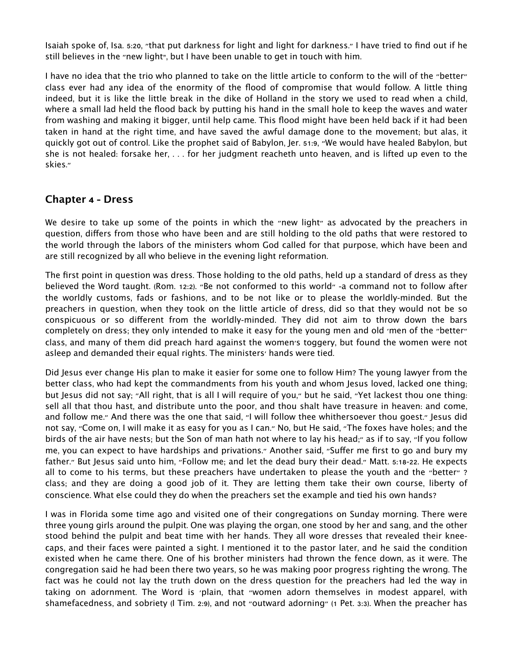Isaiah spoke of, Isa. 5:20, "that put darkness for light and light for darkness." I have tried to find out if he still believes in the "new light", but I have been unable to get in touch with him.

I have no idea that the trio who planned to take on the little article to conform to the will of the "better" class ever had any idea of the enormity of the flood of compromise that would follow. A little thing indeed, but it is like the little break in the dike of Holland in the story we used to read when a child, where a small lad held the flood back by putting his hand in the small hole to keep the waves and water from washing and making it bigger, until help came. This flood might have been held back if it had been taken in hand at the right time, and have saved the awful damage done to the movement; but alas, it quickly got out of control. Like the prophet said of Babylon, Jer. 51:9, "We would have healed Babylon, but she is not healed: forsake her, . . . for her judgment reacheth unto heaven, and is lifted up even to the skies."

#### **Chapter 4 - Dress**

We desire to take up some of the points in which the "new light" as advocated by the preachers in question, differs from those who have been and are still holding to the old paths that were restored to the world through the labors of the ministers whom God called for that purpose, which have been and are still recognized by all who believe in the evening light reformation.

The first point in question was dress. Those holding to the old paths, held up a standard of dress as they believed the Word taught. (Rom. 12:2). "Be not conformed to this world" -a command not to follow after the worldly customs, fads or fashions, and to be not like or to please the worldly-minded. But the preachers in question, when they took on the little article of dress, did so that they would not be so conspicuous or so different from the worldly-minded. They did not aim to throw down the bars completely on dress; they only intended to make it easy for the young men and old 'men of the "better" class, and many of them did preach hard against the women's toggery, but found the women were not asleep and demanded their equal rights. The ministers' hands were tied.

Did Jesus ever change His plan to make it easier for some one to follow Him? The young lawyer from the better class, who had kept the commandments from his youth and whom Jesus loved, lacked one thing; but Jesus did not say; "All right, that is all I will require of you," but he said, "Yet lackest thou one thing: sell all that thou hast, and distribute unto the poor, and thou shalt have treasure in heaven: and come, and follow me." And there was the one that said, "I will follow thee whithersoever thou goest." Jesus did not say, "Come on, I will make it as easy for you as I can." No, but He said, "The foxes have holes; and the birds of the air have nests; but the Son of man hath not where to lay his head;" as if to say, "If you follow me, you can expect to have hardships and privations." Another said, "Suffer me first to go and bury my father." But Jesus said unto him, "Follow me; and let the dead bury their dead." Matt. 5:18-22. He expects all to come to his terms, but these preachers have undertaken to please the youth and the "better" ? class; and they are doing a good job of it. They are letting them take their own course, liberty of conscience. What else could they do when the preachers set the example and tied his own hands?

I was in Florida some time ago and visited one of their congregations on Sunday morning. There were three young girls around the pulpit. One was playing the organ, one stood by her and sang, and the other stood behind the pulpit and beat time with her hands. They all wore dresses that revealed their kneecaps, and their faces were painted a sight. I mentioned it to the pastor later, and he said the condition existed when he came there. One of his brother ministers had thrown the fence down, as it were. The congregation said he had been there two years, so he was making poor progress righting the wrong. The fact was he could not lay the truth down on the dress question for the preachers had led the way in taking on adornment. The Word is 'plain, that "women adorn themselves in modest apparel, with shamefacedness, and sobriety (I Tim. 2:9), and not "outward adorning" (1 Pet. 3:3). When the preacher has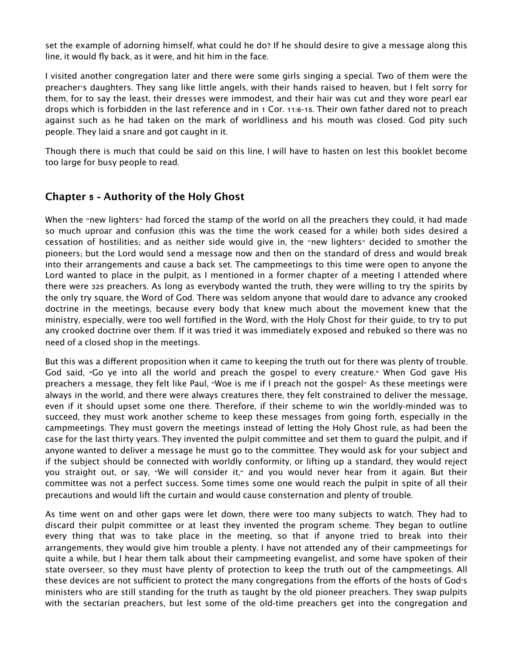set the example of adorning himself, what could he do? If he should desire to give a message along this line, it would fly back, as it were, and hit him in the face.

I visited another congregation later and there were some girls singing a special. Two of them were the preacher's daughters. They sang like little angels, with their hands raised to heaven, but I felt sorry for them, for to say the least, their dresses were immodest, and their hair was cut and they wore pearl ear drops which is forbidden in the last reference and in 1 Cor. 11:6-15. Their own father dared not to preach against such as he had taken on the mark of worldliness and his mouth was closed. God pity such people. They laid a snare and got caught in it.

Though there is much that could be said on this line, I will have to hasten on lest this booklet become too large for busy people to read.

#### **Chapter 5 - Authority of the Holy Ghost**

When the "new lighters" had forced the stamp of the world on all the preachers they could, it had made so much uproar and confusion (this was the time the work ceased for a while) both sides desired a cessation of hostilities; and as neither side would give in, the "new lighters" decided to smother the pioneers; but the Lord would send a message now and then on the standard of dress and would break into their arrangements and cause a back set. The campmeetings to this time were open to anyone the Lord wanted to place in the pulpit, as I mentioned in a former chapter of a meeting I attended where there were 325 preachers. As long as everybody wanted the truth, they were willing to try the spirits by the only try square, the Word of God. There was seldom anyone that would dare to advance any crooked doctrine in the meetings, because every body that knew much about the movement knew that the ministry, especially, were too well fortified in the Word, with the Holy Ghost for their guide, to try to put any crooked doctrine over them. If it was tried it was immediately exposed and rebuked so there was no need of a closed shop in the meetings.

But this was a different proposition when it came to keeping the truth out for there was plenty of trouble. God said, "Go ye into all the world and preach the gospel to every creature." When God gave His preachers a message, they felt like Paul, "Woe is me if I preach not the gospel" As these meetings were always in the world, and there were always creatures there, they felt constrained to deliver the message, even if it should upset some one there. Therefore, if their scheme to win the worldly-minded was to succeed, they must work another scheme to keep these messages from going forth, especially in the campmeetings. They must govern the meetings instead of letting the Holy Ghost rule, as had been the case for the last thirty years. They invented the pulpit committee and set them to guard the pulpit, and if anyone wanted to deliver a message he must go to the committee. They would ask for your subject and if the subject should be connected with worldly conformity, or lifting up a standard, they would reject you straight out, or say, "We will consider it," and you would never hear from it again. But their committee was not a perfect success. Some times some one would reach the pulpit in spite of all their precautions and would lift the curtain and would cause consternation and plenty of trouble.

As time went on and other gaps were let down, there were too many subjects to watch. They had to discard their pulpit committee or at least they invented the program scheme. They began to outline every thing that was to take place in the meeting, so that if anyone tried to break into their arrangements, they would give him trouble a plenty. I have not attended any of their campmeetings for quite a while, but I hear them talk about their campmeeting evangelist, and some have spoken of their state overseer, so they must have plenty of protection to keep the truth out of the campmeetings. All these devices are not sufficient to protect the many congregations from the efforts of the hosts of God's ministers who are still standing for the truth as taught by the old pioneer preachers. They swap pulpits with the sectarian preachers, but lest some of the old-time preachers get into the congregation and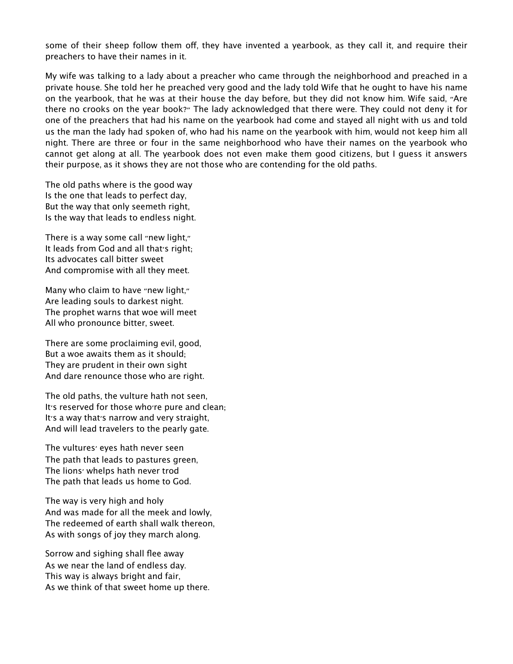some of their sheep follow them off, they have invented a yearbook, as they call it, and require their preachers to have their names in it.

My wife was talking to a lady about a preacher who came through the neighborhood and preached in a private house. She told her he preached very good and the lady told Wife that he ought to have his name on the yearbook, that he was at their house the day before, but they did not know him. Wife said, "Are there no crooks on the year book?" The lady acknowledged that there were. They could not deny it for one of the preachers that had his name on the yearbook had come and stayed all night with us and told us the man the lady had spoken of, who had his name on the yearbook with him, would not keep him all night. There are three or four in the same neighborhood who have their names on the yearbook who cannot get along at all. The yearbook does not even make them good citizens, but I guess it answers their purpose, as it shows they are not those who are contending for the old paths.

The old paths where is the good way Is the one that leads to perfect day, But the way that only seemeth right, Is the way that leads to endless night.

There is a way some call "new light," It leads from God and all that's right; Its advocates call bitter sweet And compromise with all they meet.

Many who claim to have "new light," Are leading souls to darkest night. The prophet warns that woe will meet All who pronounce bitter, sweet.

There are some proclaiming evil, good, But a woe awaits them as it should; They are prudent in their own sight And dare renounce those who are right.

The old paths, the vulture hath not seen, It's reserved for those who're pure and clean; It's a way that's narrow and very straight, And will lead travelers to the pearly gate.

The vultures' eyes hath never seen The path that leads to pastures green, The lions' whelps hath never trod The path that leads us home to God.

The way is very high and holy And was made for all the meek and lowly, The redeemed of earth shall walk thereon, As with songs of joy they march along.

Sorrow and sighing shall flee away As we near the land of endless day. This way is always bright and fair, As we think of that sweet home up there.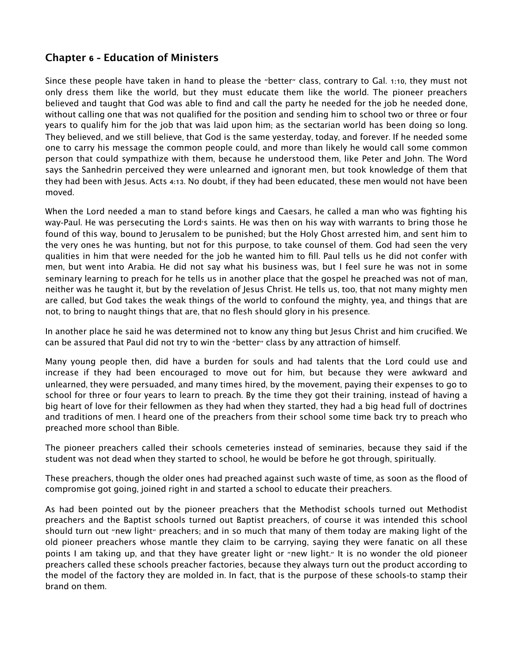# **Chapter 6 - Education of Ministers**

Since these people have taken in hand to please the "better" class, contrary to Gal. 1:10, they must not only dress them like the world, but they must educate them like the world. The pioneer preachers believed and taught that God was able to find and call the party he needed for the job he needed done, without calling one that was not qualified for the position and sending him to school two or three or four years to qualify him for the job that was laid upon him; as the sectarian world has been doing so long. They believed, and we still believe, that God is the same yesterday, today, and forever. If he needed some one to carry his message the common people could, and more than likely he would call some common person that could sympathize with them, because he understood them, like Peter and John. The Word says the Sanhedrin perceived they were unlearned and ignorant men, but took knowledge of them that they had been with Jesus. Acts 4:13. No doubt, if they had been educated, these men would not have been moved.

When the Lord needed a man to stand before kings and Caesars, he called a man who was fighting his way-Paul. He was persecuting the Lord's saints. He was then on his way with warrants to bring those he found of this way, bound to Jerusalem to be punished; but the Holy Ghost arrested him, and sent him to the very ones he was hunting, but not for this purpose, to take counsel of them. God had seen the very qualities in him that were needed for the job he wanted him to fill. Paul tells us he did not confer with men, but went into Arabia. He did not say what his business was, but I feel sure he was not in some seminary learning to preach for he tells us in another place that the gospel he preached was not of man, neither was he taught it, but by the revelation of Jesus Christ. He tells us, too, that not many mighty men are called, but God takes the weak things of the world to confound the mighty, yea, and things that are not, to bring to naught things that are, that no flesh should glory in his presence.

In another place he said he was determined not to know any thing but Jesus Christ and him crucified. We can be assured that Paul did not try to win the "better" class by any attraction of himself.

Many young people then, did have a burden for souls and had talents that the Lord could use and increase if they had been encouraged to move out for him, but because they were awkward and unlearned, they were persuaded, and many times hired, by the movement, paying their expenses to go to school for three or four years to learn to preach. By the time they got their training, instead of having a big heart of love for their fellowmen as they had when they started, they had a big head full of doctrines and traditions of men. I heard one of the preachers from their school some time back try to preach who preached more school than Bible.

The pioneer preachers called their schools cemeteries instead of seminaries, because they said if the student was not dead when they started to school, he would be before he got through, spiritually.

These preachers, though the older ones had preached against such waste of time, as soon as the flood of compromise got going, joined right in and started a school to educate their preachers.

As had been pointed out by the pioneer preachers that the Methodist schools turned out Methodist preachers and the Baptist schools turned out Baptist preachers, of course it was intended this school should turn out "new light" preachers; and in so much that many of them today are making light of the old pioneer preachers whose mantle they claim to be carrying, saying they were fanatic on all these points I am taking up, and that they have greater light or "new light." It is no wonder the old pioneer preachers called these schools preacher factories, because they always turn out the product according to the model of the factory they are molded in. In fact, that is the purpose of these schools-to stamp their brand on them.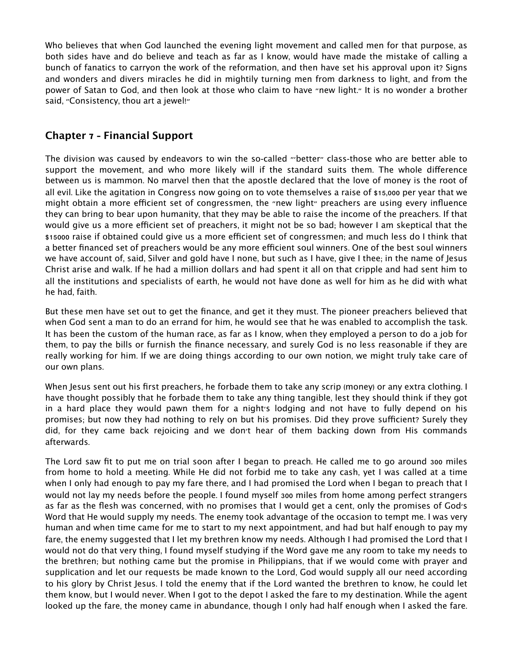Who believes that when God launched the evening light movement and called men for that purpose, as both sides have and do believe and teach as far as I know, would have made the mistake of calling a bunch of fanatics to carryon the work of the reformation, and then have set his approval upon it? Signs and wonders and divers miracles he did in mightily turning men from darkness to light, and from the power of Satan to God, and then look at those who claim to have "new light." It is no wonder a brother said, "Consistency, thou art a jewel!"

## **Chapter 7 - Financial Support**

The division was caused by endeavors to win the so-called "'better" class-those who are better able to support the movement, and who more likely will if the standard suits them. The whole difference between us is mammon. No marvel then that the apostle declared that the love of money is the root of all evil. Like the agitation in Congress now going on to vote themselves a raise of \$15,000 per year that we might obtain a more efficient set of congressmen, the "new light" preachers are using every influence they can bring to bear upon humanity, that they may be able to raise the income of the preachers. If that would give us a more efficient set of preachers, it might not be so bad; however I am skeptical that the \$15000 raise if obtained could give us a more efficient set of congressmen; and much less do I think that a better financed set of preachers would be any more efficient soul winners. One of the best soul winners we have account of, said, Silver and gold have I none, but such as I have, give I thee; in the name of Jesus Christ arise and walk. If he had a million dollars and had spent it all on that cripple and had sent him to all the institutions and specialists of earth, he would not have done as well for him as he did with what he had, faith.

But these men have set out to get the finance, and get it they must. The pioneer preachers believed that when God sent a man to do an errand for him, he would see that he was enabled to accomplish the task. It has been the custom of the human race, as far as I know, when they employed a person to do a job for them, to pay the bills or furnish the finance necessary, and surely God is no less reasonable if they are really working for him. If we are doing things according to our own notion, we might truly take care of our own plans.

When Jesus sent out his first preachers, he forbade them to take any scrip (money) or any extra clothing. I have thought possibly that he forbade them to take any thing tangible, lest they should think if they got in a hard place they would pawn them for a night's lodging and not have to fully depend on his promises; but now they had nothing to rely on but his promises. Did they prove sufficient? Surely they did, for they came back rejoicing and we don't hear of them backing down from His commands afterwards.

The Lord saw fit to put me on trial soon after I began to preach. He called me to go around 300 miles from home to hold a meeting. While He did not forbid me to take any cash, yet I was called at a time when I only had enough to pay my fare there, and I had promised the Lord when I began to preach that I would not lay my needs before the people. I found myself 300 miles from home among perfect strangers as far as the flesh was concerned, with no promises that I would get a cent, only the promises of God's Word that He would supply my needs. The enemy took advantage of the occasion to tempt me. I was very human and when time came for me to start to my next appointment, and had but half enough to pay my fare, the enemy suggested that I let my brethren know my needs. Although I had promised the Lord that I would not do that very thing, I found myself studying if the Word gave me any room to take my needs to the brethren; but nothing came but the promise in Philippians, that if we would come with prayer and supplication and let our requests be made known to the Lord, God would supply all our need according to his glory by Christ Jesus. I told the enemy that if the Lord wanted the brethren to know, he could let them know, but I would never. When I got to the depot I asked the fare to my destination. While the agent looked up the fare, the money came in abundance, though I only had half enough when I asked the fare.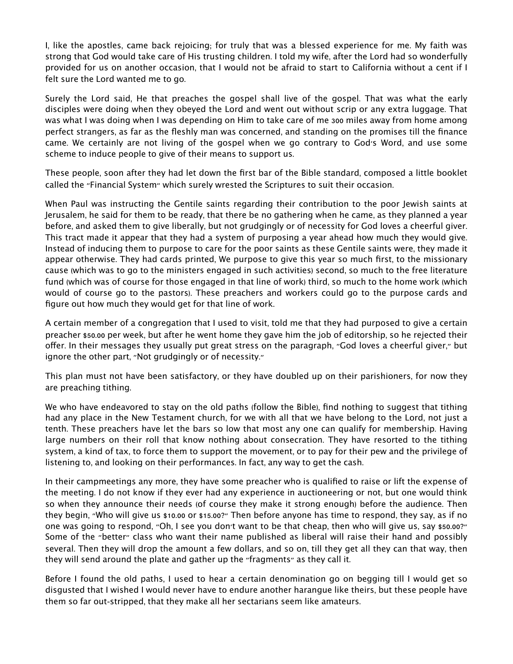I, like the apostles, came back rejoicing; for truly that was a blessed experience for me. My faith was strong that God would take care of His trusting children. I told my wife, after the Lord had so wonderfully provided for us on another occasion, that I would not be afraid to start to California without a cent if I felt sure the Lord wanted me to go.

Surely the Lord said, He that preaches the gospel shall live of the gospel. That was what the early disciples were doing when they obeyed the Lord and went out without scrip or any extra luggage. That was what I was doing when I was depending on Him to take care of me 300 miles away from home among perfect strangers, as far as the fleshly man was concerned, and standing on the promises till the finance came. We certainly are not living of the gospel when we go contrary to God's Word, and use some scheme to induce people to give of their means to support us.

These people, soon after they had let down the first bar of the Bible standard, composed a little booklet called the "Financial System" which surely wrested the Scriptures to suit their occasion.

When Paul was instructing the Gentile saints regarding their contribution to the poor Jewish saints at Jerusalem, he said for them to be ready, that there be no gathering when he came, as they planned a year before, and asked them to give liberally, but not grudgingly or of necessity for God loves a cheerful giver. This tract made it appear that they had a system of purposing a year ahead how much they would give. Instead of inducing them to purpose to care for the poor saints as these Gentile saints were, they made it appear otherwise. They had cards printed, We purpose to give this year so much first, to the missionary cause (which was to go to the ministers engaged in such activities) second, so much to the free literature fund (which was of course for those engaged in that line of work) third, so much to the home work (which would of course go to the pastors). These preachers and workers could go to the purpose cards and figure out how much they would get for that line of work.

A certain member of a congregation that I used to visit, told me that they had purposed to give a certain preacher \$50.00 per week, but after he went home they gave him the job of editorship, so he rejected their offer. In their messages they usually put great stress on the paragraph, "God loves a cheerful giver," but ignore the other part, "Not grudgingly or of necessity."

This plan must not have been satisfactory, or they have doubled up on their parishioners, for now they are preaching tithing.

We who have endeavored to stay on the old paths (follow the Bible), find nothing to suggest that tithing had any place in the New Testament church, for we with all that we have belong to the Lord, not just a tenth. These preachers have let the bars so low that most any one can qualify for membership. Having large numbers on their roll that know nothing about consecration. They have resorted to the tithing system, a kind of tax, to force them to support the movement, or to pay for their pew and the privilege of listening to, and looking on their performances. In fact, any way to get the cash.

In their campmeetings any more, they have some preacher who is qualified to raise or lift the expense of the meeting. I do not know if they ever had any experience in auctioneering or not, but one would think so when they announce their needs (of course they make it strong enough) before the audience. Then they begin, "Who will give us \$10.00 or \$15.00?" Then before anyone has time to respond, they say, as if no one was going to respond, "Oh, I see you don't want to be that cheap, then who will give us, say \$50.00?" Some of the "better" class who want their name published as liberal will raise their hand and possibly several. Then they will drop the amount a few dollars, and so on, till they get all they can that way, then they will send around the plate and gather up the "fragments" as they call it.

Before I found the old paths, I used to hear a certain denomination go on begging till I would get so disgusted that I wished I would never have to endure another harangue like theirs, but these people have them so far out-stripped, that they make all her sectarians seem like amateurs.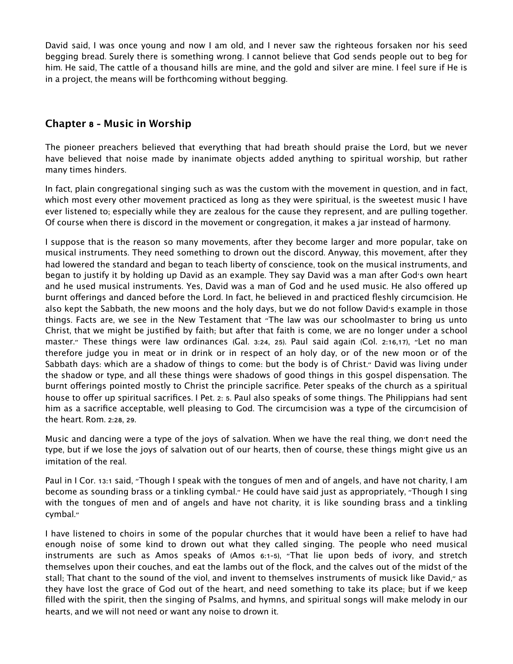David said, I was once young and now I am old, and I never saw the righteous forsaken nor his seed begging bread. Surely there is something wrong. I cannot believe that God sends people out to beg for him. He said, The cattle of a thousand hills are mine, and the gold and silver are mine. I feel sure if He is in a project, the means will be forthcoming without begging.

# **Chapter 8 - Music in Worship**

The pioneer preachers believed that everything that had breath should praise the Lord, but we never have believed that noise made by inanimate objects added anything to spiritual worship, but rather many times hinders.

In fact, plain congregational singing such as was the custom with the movement in question, and in fact, which most every other movement practiced as long as they were spiritual, is the sweetest music I have ever listened to; especially while they are zealous for the cause they represent, and are pulling together. Of course when there is discord in the movement or congregation, it makes a jar instead of harmony.

I suppose that is the reason so many movements, after they become larger and more popular, take on musical instruments. They need something to drown out the discord. Anyway, this movement, after they had lowered the standard and began to teach liberty of conscience, took on the musical instruments, and began to justify it by holding up David as an example. They say David was a man after God's own heart and he used musical instruments. Yes, David was a man of God and he used music. He also offered up burnt offerings and danced before the Lord. In fact, he believed in and practiced fleshly circumcision. He also kept the Sabbath, the new moons and the holy days, but we do not follow David's example in those things. Facts are, we see in the New Testament that "The law was our schoolmaster to bring us unto Christ, that we might be justified by faith; but after that faith is come, we are no longer under a school master." These things were law ordinances (Gal. 3:24, 25). Paul said again (Col. 2:16,17), "Let no man therefore judge you in meat or in drink or in respect of an holy day, or of the new moon or of the Sabbath days: which are a shadow of things to come: but the body is of Christ." David was living under the shadow or type, and all these things were shadows of good things in this gospel dispensation. The burnt offerings pointed mostly to Christ the principle sacrifice. Peter speaks of the church as a spiritual house to offer up spiritual sacrifices. I Pet. 2: 5. Paul also speaks of some things. The Philippians had sent him as a sacrifice acceptable, well pleasing to God. The circumcision was a type of the circumcision of the heart. Rom. 2:28, 29.

Music and dancing were a type of the joys of salvation. When we have the real thing, we don't need the type, but if we lose the joys of salvation out of our hearts, then of course, these things might give us an imitation of the real.

Paul in I Cor. 13:1 said, "Though I speak with the tongues of men and of angels, and have not charity, I am become as sounding brass or a tinkling cymbal." He could have said just as appropriately, "Though I sing with the tongues of men and of angels and have not charity, it is like sounding brass and a tinkling cymbal."

I have listened to choirs in some of the popular churches that it would have been a relief to have had enough noise of some kind to drown out what they called singing. The people who need musical instruments are such as Amos speaks of (Amos 6:1-5), "That lie upon beds of ivory, and stretch themselves upon their couches, and eat the lambs out of the flock, and the calves out of the midst of the stall; That chant to the sound of the viol, and invent to themselves instruments of musick like David," as they have lost the grace of God out of the heart, and need something to take its place; but if we keep filled with the spirit, then the singing of Psalms, and hymns, and spiritual songs will make melody in our hearts, and we will not need or want any noise to drown it.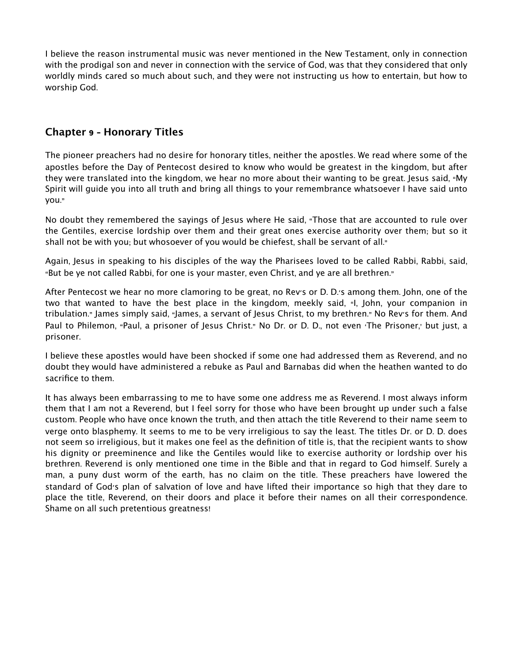I believe the reason instrumental music was never mentioned in the New Testament, only in connection with the prodigal son and never in connection with the service of God, was that they considered that only worldly minds cared so much about such, and they were not instructing us how to entertain, but how to worship God.

## **Chapter 9 - Honorary Titles**

The pioneer preachers had no desire for honorary titles, neither the apostles. We read where some of the apostles before the Day of Pentecost desired to know who would be greatest in the kingdom, but after they were translated into the kingdom, we hear no more about their wanting to be great. Jesus said, "My Spirit will guide you into all truth and bring all things to your remembrance whatsoever I have said unto you."

No doubt they remembered the sayings of Jesus where He said, "Those that are accounted to rule over the Gentiles, exercise lordship over them and their great ones exercise authority over them; but so it shall not be with you; but whosoever of you would be chiefest, shall be servant of all."

Again, Jesus in speaking to his disciples of the way the Pharisees loved to be called Rabbi, Rabbi, said, "But be ye not called Rabbi, for one is your master, even Christ, and ye are all brethren."

After Pentecost we hear no more clamoring to be great, no Rev's or D. D.'s among them. John, one of the two that wanted to have the best place in the kingdom, meekly said, "I, John, your companion in tribulation." James simply said, "James, a servant of Jesus Christ, to my brethren." No Rev's for them. And Paul to Philemon, "Paul, a prisoner of Jesus Christ." No Dr. or D. D., not even 'The Prisoner,' but just, a prisoner.

I believe these apostles would have been shocked if some one had addressed them as Reverend, and no doubt they would have administered a rebuke as Paul and Barnabas did when the heathen wanted to do sacrifice to them.

It has always been embarrassing to me to have some one address me as Reverend. I most always inform them that I am not a Reverend, but I feel sorry for those who have been brought up under such a false custom. People who have once known the truth, and then attach the title Reverend to their name seem to verge onto blasphemy. It seems to me to be very irreligious to say the least. The titles Dr. or D. D. does not seem so irreligious, but it makes one feel as the definition of title is, that the recipient wants to show his dignity or preeminence and like the Gentiles would like to exercise authority or lordship over his brethren. Reverend is only mentioned one time in the Bible and that in regard to God himself. Surely a man, a puny dust worm of the earth, has no claim on the title. These preachers have lowered the standard of God's plan of salvation of love and have lifted their importance so high that they dare to place the title, Reverend, on their doors and place it before their names on all their correspondence. Shame on all such pretentious greatness!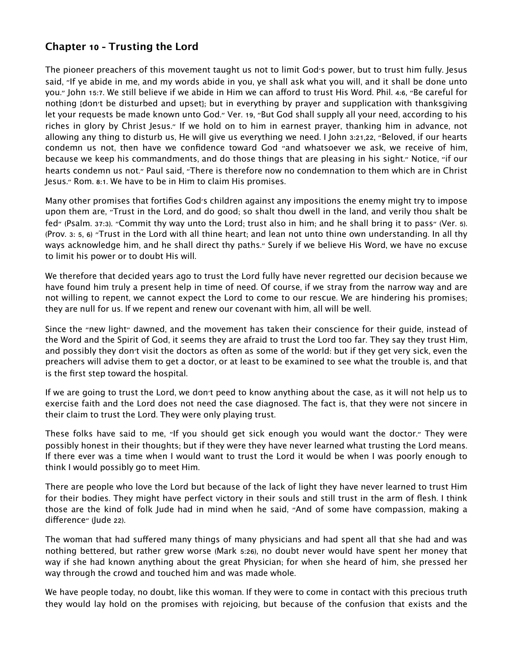# **Chapter 10 - Trusting the Lord**

The pioneer preachers of this movement taught us not to limit God's power, but to trust him fully. Jesus said, "If ye abide in me, and my words abide in you, ye shall ask what you will, and it shall be done unto you." John 15:7. We still believe if we abide in Him we can afford to trust His Word. Phil. 4:6, "Be careful for nothing [don't be disturbed and upset]; but in everything by prayer and supplication with thanksgiving let your requests be made known unto God." Ver. 19, "But God shall supply all your need, according to his riches in glory by Christ Jesus." If we hold on to him in earnest prayer, thanking him in advance, not allowing any thing to disturb us, He will give us everything we need. I John 3:21,22, "Beloved, if our hearts condemn us not, then have we confidence toward God "and whatsoever we ask, we receive of him, because we keep his commandments, and do those things that are pleasing in his sight." Notice, "if our hearts condemn us not." Paul said, "There is therefore now no condemnation to them which are in Christ Jesus." Rom. 8:1. We have to be in Him to claim His promises.

Many other promises that fortifies God's children against any impositions the enemy might try to impose upon them are, "Trust in the Lord, and do good; so shalt thou dwell in the land, and verily thou shalt be fed" (Psalm. 37:3). "Commit thy way unto the Lord; trust also in him; and he shall bring it to pass" (Ver. 5). (Prov. 3: 5, 6) "Trust in the Lord with all thine heart; and lean not unto thine own understanding. In all thy ways acknowledge him, and he shall direct thy paths." Surely if we believe His Word, we have no excuse to limit his power or to doubt His will.

We therefore that decided years ago to trust the Lord fully have never regretted our decision because we have found him truly a present help in time of need. Of course, if we stray from the narrow way and are not willing to repent, we cannot expect the Lord to come to our rescue. We are hindering his promises; they are null for us. If we repent and renew our covenant with him, all will be well.

Since the "new light" dawned, and the movement has taken their conscience for their guide, instead of the Word and the Spirit of God, it seems they are afraid to trust the Lord too far. They say they trust Him, and possibly they don't visit the doctors as often as some of the world: but if they get very sick, even the preachers will advise them to get a doctor, or at least to be examined to see what the trouble is, and that is the first step toward the hospital.

If we are going to trust the Lord, we don't peed to know anything about the case, as it will not help us to exercise faith and the Lord does not need the case diagnosed. The fact is, that they were not sincere in their claim to trust the Lord. They were only playing trust.

These folks have said to me, "If you should get sick enough you would want the doctor." They were possibly honest in their thoughts; but if they were they have never learned what trusting the Lord means. If there ever was a time when I would want to trust the Lord it would be when I was poorly enough to think I would possibly go to meet Him.

There are people who love the Lord but because of the lack of light they have never learned to trust Him for their bodies. They might have perfect victory in their souls and still trust in the arm of flesh. I think those are the kind of folk Jude had in mind when he said, "And of some have compassion, making a difference" (lude 22).

The woman that had suffered many things of many physicians and had spent all that she had and was nothing bettered, but rather grew worse (Mark 5:26), no doubt never would have spent her money that way if she had known anything about the great Physician; for when she heard of him, she pressed her way through the crowd and touched him and was made whole.

We have people today, no doubt, like this woman. If they were to come in contact with this precious truth they would lay hold on the promises with rejoicing, but because of the confusion that exists and the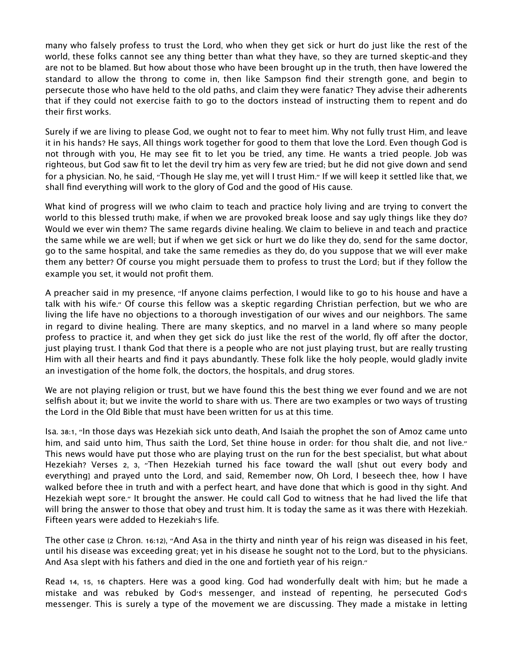many who falsely profess to trust the Lord, who when they get sick or hurt do just like the rest of the world, these folks cannot see any thing better than what they have, so they are turned skeptic-and they are not to be blamed. But how about those who have been brought up in the truth, then have lowered the standard to allow the throng to come in, then like Sampson find their strength gone, and begin to persecute those who have held to the old paths, and claim they were fanatic? They advise their adherents that if they could not exercise faith to go to the doctors instead of instructing them to repent and do their first works.

Surely if we are living to please God, we ought not to fear to meet him. Why not fully trust Him, and leave it in his hands? He says, All things work together for good to them that love the Lord. Even though God is not through with you, He may see fit to let you be tried, any time. He wants a tried people. Job was righteous, but God saw fit to let the devil try him as very few are tried; but he did not give down and send for a physician. No, he said, "Though He slay me, yet will I trust Him." If we will keep it settled like that, we shall find everything will work to the glory of God and the good of His cause.

What kind of progress will we (who claim to teach and practice holy living and are trying to convert the world to this blessed truth) make, if when we are provoked break loose and say ugly things like they do? Would we ever win them? The same regards divine healing. We claim to believe in and teach and practice the same while we are well; but if when we get sick or hurt we do like they do, send for the same doctor, go to the same hospital, and take the same remedies as they do, do you suppose that we will ever make them any better? Of course you might persuade them to profess to trust the Lord; but if they follow the example you set, it would not profit them.

A preacher said in my presence, "If anyone claims perfection, I would like to go to his house and have a talk with his wife." Of course this fellow was a skeptic regarding Christian perfection, but we who are living the life have no objections to a thorough investigation of our wives and our neighbors. The same in regard to divine healing. There are many skeptics, and no marvel in a land where so many people profess to practice it, and when they get sick do just like the rest of the world, fly off after the doctor, just playing trust. I thank God that there is a people who are not just playing trust, but are really trusting Him with all their hearts and find it pays abundantly. These folk like the holy people, would gladly invite an investigation of the home folk, the doctors, the hospitals, and drug stores.

We are not playing religion or trust, but we have found this the best thing we ever found and we are not selfish about it; but we invite the world to share with us. There are two examples or two ways of trusting the Lord in the Old Bible that must have been written for us at this time.

Isa. 38:1, "In those days was Hezekiah sick unto death, And Isaiah the prophet the son of Amoz came unto him, and said unto him, Thus saith the Lord, Set thine house in order: for thou shalt die, and not live." This news would have put those who are playing trust on the run for the best specialist, but what about Hezekiah? Verses 2, 3, "Then Hezekiah turned his face toward the wall [shut out every body and everything] and prayed unto the Lord, and said, Remember now, Oh Lord, I beseech thee, how I have walked before thee in truth and with a perfect heart, and have done that which is good in thy sight. And Hezekiah wept sore." It brought the answer. He could call God to witness that he had lived the life that will bring the answer to those that obey and trust him. It is today the same as it was there with Hezekiah. Fifteen years were added to Hezekiah's life.

The other case (2 Chron. 16:12), "And Asa in the thirty and ninth year of his reign was diseased in his feet, until his disease was exceeding great; yet in his disease he sought not to the Lord, but to the physicians. And Asa slept with his fathers and died in the one and fortieth year of his reign."

Read 14, 15, 16 chapters. Here was a good king. God had wonderfully dealt with him; but he made a mistake and was rebuked by God's messenger, and instead of repenting, he persecuted God's messenger. This is surely a type of the movement we are discussing. They made a mistake in letting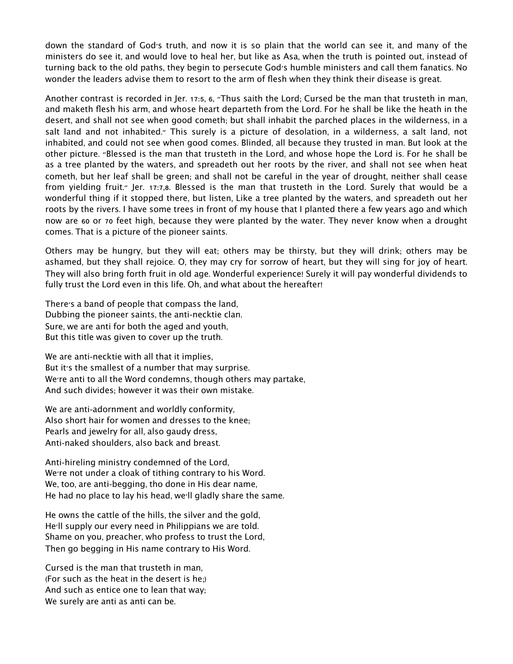down the standard of God's truth, and now it is so plain that the world can see it, and many of the ministers do see it, and would love to heal her, but like as Asa, when the truth is pointed out, instead of turning back to the old paths, they begin to persecute God's humble ministers and call them fanatics. No wonder the leaders advise them to resort to the arm of flesh when they think their disease is great.

Another contrast is recorded in Jer. 17:5, 6, "Thus saith the Lord; Cursed be the man that trusteth in man, and maketh flesh his arm, and whose heart departeth from the Lord. For he shall be like the heath in the desert, and shall not see when good cometh; but shall inhabit the parched places in the wilderness, in a salt land and not inhabited." This surely is a picture of desolation, in a wilderness, a salt land, not inhabited, and could not see when good comes. Blinded, all because they trusted in man. But look at the other picture. "Blessed is the man that trusteth in the Lord, and whose hope the Lord is. For he shall be as a tree planted by the waters, and spreadeth out her roots by the river, and shall not see when heat cometh, but her leaf shall be green; and shall not be careful in the year of drought, neither shall cease from yielding fruit." Jer. 17:7,8. Blessed is the man that trusteth in the Lord. Surely that would be a wonderful thing if it stopped there, but listen, Like a tree planted by the waters, and spreadeth out her roots by the rivers. I have some trees in front of my house that I planted there a few years ago and which now are 60 or 70 feet high, because they were planted by the water. They never know when a drought comes. That is a picture of the pioneer saints.

Others may be hungry, but they will eat; others may be thirsty, but they will drink; others may be ashamed, but they shall rejoice. O, they may cry for sorrow of heart, but they will sing for joy of heart. They will also bring forth fruit in old age. Wonderful experience! Surely it will pay wonderful dividends to fully trust the Lord even in this life. Oh, and what about the hereafter!

There's a band of people that compass the land, Dubbing the pioneer saints, the anti-necktie clan. Sure, we are anti for both the aged and youth, But this title was given to cover up the truth.

We are anti-necktie with all that it implies, But it's the smallest of a number that may surprise. We're anti to all the Word condemns, though others may partake, And such divides; however it was their own mistake.

We are anti-adornment and worldly conformity, Also short hair for women and dresses to the knee; Pearls and jewelry for all, also gaudy dress, Anti-naked shoulders, also back and breast.

Anti-hireling ministry condemned of the Lord, We're not under a cloak of tithing contrary to his Word. We, too, are anti-begging, tho done in His dear name, He had no place to lay his head, we'll gladly share the same.

He owns the cattle of the hills, the silver and the gold, He'll supply our every need in Philippians we are told. Shame on you, preacher, who profess to trust the Lord, Then go begging in His name contrary to His Word.

Cursed is the man that trusteth in man, (For such as the heat in the desert is he;) And such as entice one to lean that way; We surely are anti as anti can be.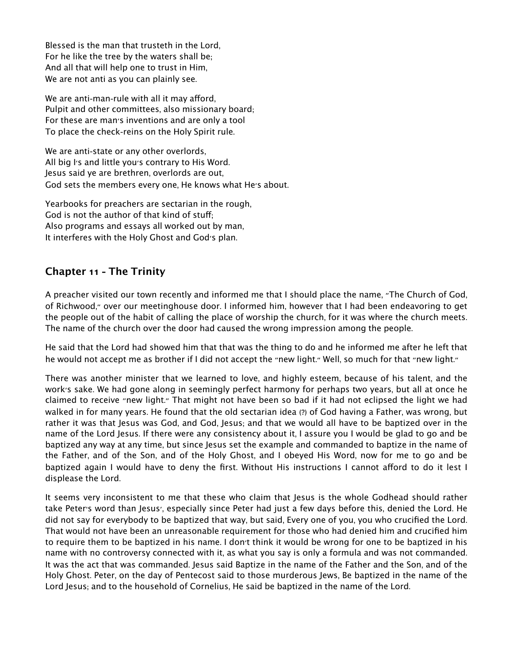Blessed is the man that trusteth in the Lord, For he like the tree by the waters shall be; And all that will help one to trust in Him, We are not anti as you can plainly see.

We are anti-man-rule with all it may afford, Pulpit and other committees, also missionary board; For these are man's inventions and are only a tool To place the check-reins on the Holy Spirit rule.

We are anti-state or any other overlords, All big I's and little you's contrary to His Word. Jesus said ye are brethren, overlords are out, God sets the members every one, He knows what He's about.

Yearbooks for preachers are sectarian in the rough, God is not the author of that kind of stuff; Also programs and essays all worked out by man, It interferes with the Holy Ghost and God's plan.

# **Chapter 11 - The Trinity**

A preacher visited our town recently and informed me that I should place the name, "The Church of God, of Richwood," over our meetinghouse door. I informed him, however that I had been endeavoring to get the people out of the habit of calling the place of worship the church, for it was where the church meets. The name of the church over the door had caused the wrong impression among the people.

He said that the Lord had showed him that that was the thing to do and he informed me after he left that he would not accept me as brother if I did not accept the "new light." Well, so much for that "new light."

There was another minister that we learned to love, and highly esteem, because of his talent, and the work's sake. We had gone along in seemingly perfect harmony for perhaps two years, but all at once he claimed to receive "new light." That might not have been so bad if it had not eclipsed the light we had walked in for many years. He found that the old sectarian idea (?) of God having a Father, was wrong, but rather it was that Jesus was God, and God, Jesus; and that we would all have to be baptized over in the name of the Lord Jesus. If there were any consistency about it, I assure you I would be glad to go and be baptized any way at any time, but since Jesus set the example and commanded to baptize in the name of the Father, and of the Son, and of the Holy Ghost, and I obeyed His Word, now for me to go and be baptized again I would have to deny the first. Without His instructions I cannot afford to do it lest I displease the Lord.

It seems very inconsistent to me that these who claim that Jesus is the whole Godhead should rather take Peter's word than Jesus', especially since Peter had just a few days before this, denied the Lord. He did not say for everybody to be baptized that way, but said, Every one of you, you who crucified the Lord. That would not have been an unreasonable requirement for those who had denied him and crucified him to require them to be baptized in his name. I don't think it would be wrong for one to be baptized in his name with no controversy connected with it, as what you say is only a formula and was not commanded. It was the act that was commanded. Jesus said Baptize in the name of the Father and the Son, and of the Holy Ghost. Peter, on the day of Pentecost said to those murderous Jews, Be baptized in the name of the Lord Jesus; and to the household of Cornelius, He said be baptized in the name of the Lord.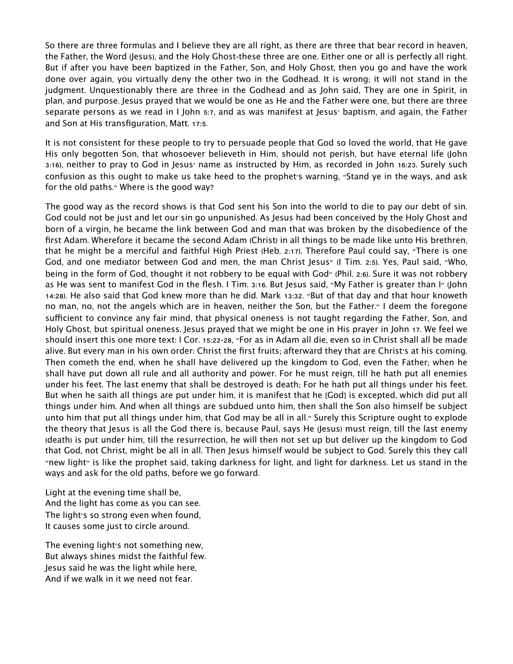So there are three formulas and I believe they are all right, as there are three that bear record in heaven, the Father, the Word (Jesus), and the Holy Ghost-these three are one. Either one or all is perfectly all right. But if after you have been baptized in the Father, Son, and Holy Ghost, then you go and have the work done over again, you virtually deny the other two in the Godhead. It is wrong; it will not stand in the judgment. Unquestionably there are three in the Godhead and as John said, They are one in Spirit, in plan, and purpose. Jesus prayed that we would be one as He and the Father were one, but there are three separate persons as we read in I John 5:7, and as was manifest at Jesus' baptism, and again, the Father and Son at His transfiguration, Matt. 17:5.

It is not consistent for these people to try to persuade people that God so loved the world, that He gave His only begotten Son, that whosoever believeth in Him, should not perish, but have eternal life (John 3:16), neither to pray to God in Jesus' name as instructed by Him, as recorded in John 16:23. Surely such confusion as this ought to make us take heed to the prophet's warning, "Stand ye in the ways, and ask for the old paths." Where is the good way?

The good way as the record shows is that God sent his Son into the world to die to pay our debt of sin. God could not be just and let our sin go unpunished. As Jesus had been conceived by the Holy Ghost and born of a virgin, he became the link between God and man that was broken by the disobedience of the first Adam. Wherefore it became the second Adam (Christ) in all things to be made like unto His brethren, that he might be a merciful and faithful High Priest (Heb. 2:17). Therefore Paul could say, "There is one God, and one mediator between God and men, the man Christ Jesus" (I Tim. 2:5). Yes, Paul said, "Who, being in the form of God, thought it not robbery to be equal with God" (Phil. 2:6). Sure it was not robbery as He was sent to manifest God in the flesh. I Tim. 3:16. But Jesus said, "My Father is greater than I" (John 14:28). He also said that God knew more than he did. Mark 13:32. "But of that day and that hour knoweth no man, no, not the angels which are in heaven, neither the Son, but the Father." I deem the foregone sufficient to convince any fair mind, that physical oneness is not taught regarding the Father, Son, and Holy Ghost, but spiritual oneness. Jesus prayed that we might be one in His prayer in John 17. We feel we should insert this one more text: I Cor. 15:22-28, "For as in Adam all die, even so in Christ shall all be made alive. But every man in his own order: Christ the first fruits; afterward they that are Christ's at his coming. Then cometh the end, when he shall have delivered up the kingdom to God, even the Father; when he shall have put down all rule and all authority and power. For he must reign, till he hath put all enemies under his feet. The last enemy that shall be destroyed is death; For he hath put all things under his feet. But when he saith all things are put under him, it is manifest that he [God] is excepted, which did put all things under him. And when all things are subdued unto him, then shall the Son also himself be subject unto him that put all things under him, that God may be all in all." Surely this Scripture ought to explode the theory that Jesus is all the God there is, because Paul, says He (Jesus) must reign, till the last enemy (death) is put under him, till the resurrection, he will then not set up but deliver up the kingdom to God that God, not Christ, might be all in all. Then Jesus himself would be subject to God. Surely this they call "new light" is like the prophet said, taking darkness for light, and light for darkness. Let us stand in the ways and ask for the old paths, before we go forward.

Light at the evening time shall be, And the light has come as you can see. The light's so strong even when found, It causes some just to circle around.

The evening light's not something new, But always shines midst the faithful few. Jesus said he was the light while here, And if we walk in it we need not fear.